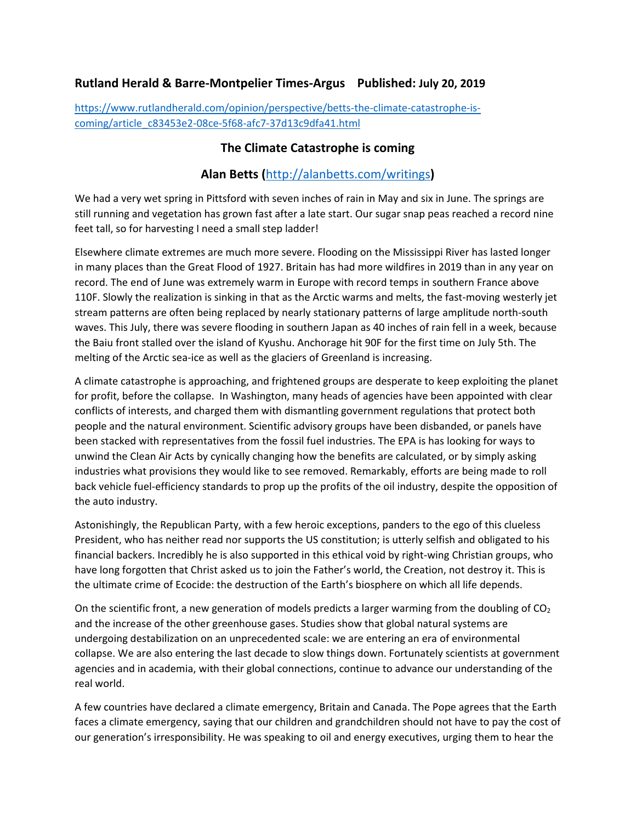## **Rutland Herald & Barre-Montpelier Times-Argus Published: July 20, 2019**

[https://www.rutlandherald.com/opinion/perspective/betts-the-climate-catastrophe-is](https://www.rutlandherald.com/opinion/perspective/betts-the-climate-catastrophe-is-coming/article_c83453e2-08ce-5f68-afc7-37d13c9dfa41.html)[coming/article\\_c83453e2-08ce-5f68-afc7-37d13c9dfa41.html](https://www.rutlandherald.com/opinion/perspective/betts-the-climate-catastrophe-is-coming/article_c83453e2-08ce-5f68-afc7-37d13c9dfa41.html)

## **The Climate Catastrophe is coming**

## **Alan Betts (**<http://alanbetts.com/writings>**)**

We had a very wet spring in Pittsford with seven inches of rain in May and six in June. The springs are still running and vegetation has grown fast after a late start. Our sugar snap peas reached a record nine feet tall, so for harvesting I need a small step ladder!

Elsewhere climate extremes are much more severe. Flooding on the Mississippi River has lasted longer in many places than the Great Flood of 1927. Britain has had more wildfires in 2019 than in any year on record. The end of June was extremely warm in Europe with record temps in southern France above 110F. Slowly the realization is sinking in that as the Arctic warms and melts, the fast-moving westerly jet stream patterns are often being replaced by nearly stationary patterns of large amplitude north-south waves. This July, there was severe flooding in southern Japan as 40 inches of rain fell in a week, because the Baiu front stalled over the island of Kyushu. Anchorage hit 90F for the first time on July 5th. The melting of the Arctic sea-ice as well as the glaciers of Greenland is increasing.

A climate catastrophe is approaching, and frightened groups are desperate to keep exploiting the planet for profit, before the collapse. In Washington, many heads of agencies have been appointed with clear conflicts of interests, and charged them with dismantling government regulations that protect both people and the natural environment. Scientific advisory groups have been disbanded, or panels have been stacked with representatives from the fossil fuel industries. The EPA is has looking for ways to unwind the Clean Air Acts by cynically changing how the benefits are calculated, or by simply asking industries what provisions they would like to see removed. Remarkably, efforts are being made to roll back vehicle fuel-efficiency standards to prop up the profits of the oil industry, despite the opposition of the auto industry.

Astonishingly, the Republican Party, with a few heroic exceptions, panders to the ego of this clueless President, who has neither read nor supports the US constitution; is utterly selfish and obligated to his financial backers. Incredibly he is also supported in this ethical void by right-wing Christian groups, who have long forgotten that Christ asked us to join the Father's world, the Creation, not destroy it. This is the ultimate crime of Ecocide: the destruction of the Earth's biosphere on which all life depends.

On the scientific front, a new generation of models predicts a larger warming from the doubling of  $CO<sub>2</sub>$ and the increase of the other greenhouse gases. Studies show that global natural systems are undergoing destabilization on an unprecedented scale: we are entering an era of environmental collapse. We are also entering the last decade to slow things down. Fortunately scientists at government agencies and in academia, with their global connections, continue to advance our understanding of the real world.

A few countries have declared a climate emergency, Britain and Canada. The Pope agrees that the Earth faces a climate emergency, saying that our children and grandchildren should not have to pay the cost of our generation's irresponsibility. He was speaking to oil and energy executives, urging them to hear the